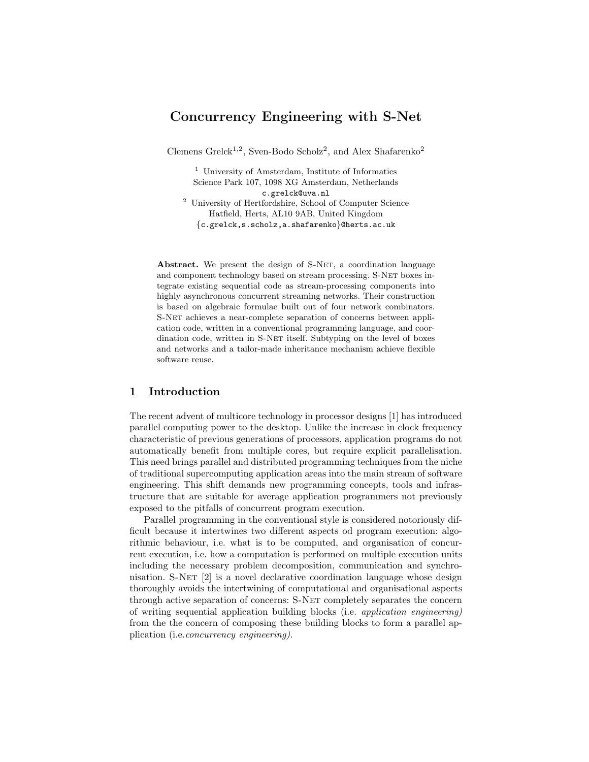# Concurrency Engineering with S-Net

Clemens Grelck<sup>1,2</sup>, Sven-Bodo Scholz<sup>2</sup>, and Alex Shafarenko<sup>2</sup>

<sup>1</sup> University of Amsterdam, Institute of Informatics Science Park 107, 1098 XG Amsterdam, Netherlands c.grelck@uva.nl

<sup>2</sup> University of Hertfordshire, School of Computer Science Hatfield, Herts, AL10 9AB, United Kingdom {c.grelck,s.scholz,a.shafarenko}@herts.ac.uk

Abstract. We present the design of S-NET, a coordination language and component technology based on stream processing. S-NET boxes integrate existing sequential code as stream-processing components into highly asynchronous concurrent streaming networks. Their construction is based on algebraic formulae built out of four network combinators. S-Net achieves a near-complete separation of concerns between application code, written in a conventional programming language, and coordination code, written in S-NET itself. Subtyping on the level of boxes and networks and a tailor-made inheritance mechanism achieve flexible software reuse.

# 1 Introduction

The recent advent of multicore technology in processor designs [1] has introduced parallel computing power to the desktop. Unlike the increase in clock frequency characteristic of previous generations of processors, application programs do not automatically benefit from multiple cores, but require explicit parallelisation. This need brings parallel and distributed programming techniques from the niche of traditional supercomputing application areas into the main stream of software engineering. This shift demands new programming concepts, tools and infrastructure that are suitable for average application programmers not previously exposed to the pitfalls of concurrent program execution.

Parallel programming in the conventional style is considered notoriously difficult because it intertwines two different aspects od program execution: algorithmic behaviour, i.e. what is to be computed, and organisation of concurrent execution, i.e. how a computation is performed on multiple execution units including the necessary problem decomposition, communication and synchronisation. S-Net [2] is a novel declarative coordination language whose design thoroughly avoids the intertwining of computational and organisational aspects through active separation of concerns: S-Net completely separates the concern of writing sequential application building blocks (i.e. application engineering) from the the concern of composing these building blocks to form a parallel application (i.e.concurrency engineering).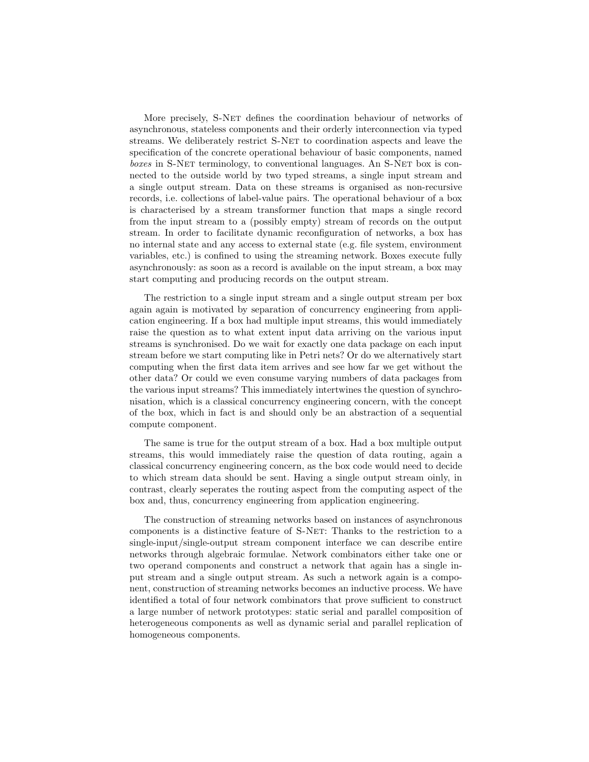More precisely, S-Net defines the coordination behaviour of networks of asynchronous, stateless components and their orderly interconnection via typed streams. We deliberately restrict S-Net to coordination aspects and leave the specification of the concrete operational behaviour of basic components, named boxes in S-NET terminology, to conventional languages. An S-NET box is connected to the outside world by two typed streams, a single input stream and a single output stream. Data on these streams is organised as non-recursive records, i.e. collections of label-value pairs. The operational behaviour of a box is characterised by a stream transformer function that maps a single record from the input stream to a (possibly empty) stream of records on the output stream. In order to facilitate dynamic reconfiguration of networks, a box has no internal state and any access to external state (e.g. file system, environment variables, etc.) is confined to using the streaming network. Boxes execute fully asynchronously: as soon as a record is available on the input stream, a box may start computing and producing records on the output stream.

The restriction to a single input stream and a single output stream per box again again is motivated by separation of concurrency engineering from application engineering. If a box had multiple input streams, this would immediately raise the question as to what extent input data arriving on the various input streams is synchronised. Do we wait for exactly one data package on each input stream before we start computing like in Petri nets? Or do we alternatively start computing when the first data item arrives and see how far we get without the other data? Or could we even consume varying numbers of data packages from the various input streams? This immediately intertwines the question of synchronisation, which is a classical concurrency engineering concern, with the concept of the box, which in fact is and should only be an abstraction of a sequential compute component.

The same is true for the output stream of a box. Had a box multiple output streams, this would immediately raise the question of data routing, again a classical concurrency engineering concern, as the box code would need to decide to which stream data should be sent. Having a single output stream oinly, in contrast, clearly seperates the routing aspect from the computing aspect of the box and, thus, concurrency engineering from application engineering.

The construction of streaming networks based on instances of asynchronous components is a distinctive feature of S-NET: Thanks to the restriction to a single-input/single-output stream component interface we can describe entire networks through algebraic formulae. Network combinators either take one or two operand components and construct a network that again has a single input stream and a single output stream. As such a network again is a component, construction of streaming networks becomes an inductive process. We have identified a total of four network combinators that prove sufficient to construct a large number of network prototypes: static serial and parallel composition of heterogeneous components as well as dynamic serial and parallel replication of homogeneous components.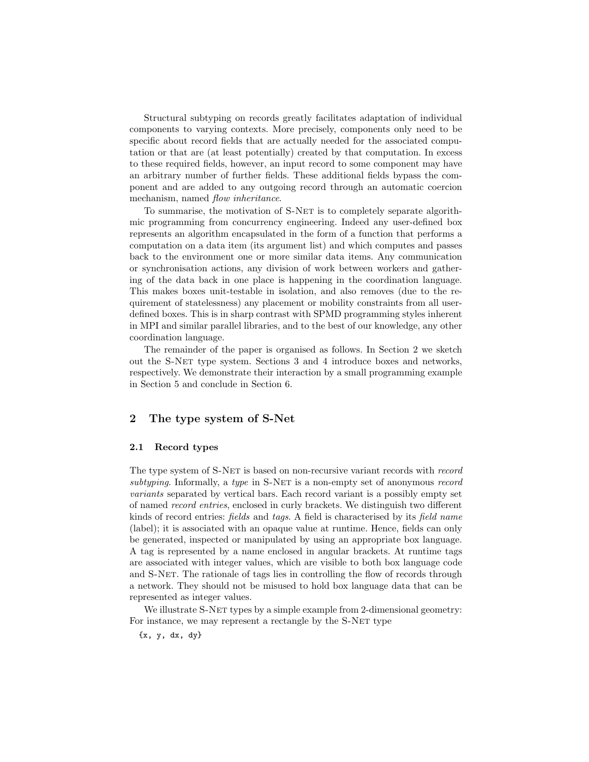Structural subtyping on records greatly facilitates adaptation of individual components to varying contexts. More precisely, components only need to be specific about record fields that are actually needed for the associated computation or that are (at least potentially) created by that computation. In excess to these required fields, however, an input record to some component may have an arbitrary number of further fields. These additional fields bypass the component and are added to any outgoing record through an automatic coercion mechanism, named flow inheritance.

To summarise, the motivation of S-NET is to completely separate algorithmic programming from concurrency engineering. Indeed any user-defined box represents an algorithm encapsulated in the form of a function that performs a computation on a data item (its argument list) and which computes and passes back to the environment one or more similar data items. Any communication or synchronisation actions, any division of work between workers and gathering of the data back in one place is happening in the coordination language. This makes boxes unit-testable in isolation, and also removes (due to the requirement of statelessness) any placement or mobility constraints from all userdefined boxes. This is in sharp contrast with SPMD programming styles inherent in MPI and similar parallel libraries, and to the best of our knowledge, any other coordination language.

The remainder of the paper is organised as follows. In Section 2 we sketch out the S-Net type system. Sections 3 and 4 introduce boxes and networks, respectively. We demonstrate their interaction by a small programming example in Section 5 and conclude in Section 6.

# 2 The type system of S-Net

### 2.1 Record types

The type system of S-NET is based on non-recursive variant records with *record* subtyping. Informally, a type in S-NET is a non-empty set of anonymous record variants separated by vertical bars. Each record variant is a possibly empty set of named record entries, enclosed in curly brackets. We distinguish two different kinds of record entries: fields and tags. A field is characterised by its field name (label); it is associated with an opaque value at runtime. Hence, fields can only be generated, inspected or manipulated by using an appropriate box language. A tag is represented by a name enclosed in angular brackets. At runtime tags are associated with integer values, which are visible to both box language code and S-NET. The rationale of tags lies in controlling the flow of records through a network. They should not be misused to hold box language data that can be represented as integer values.

We illustrate S-NET types by a simple example from 2-dimensional geometry: For instance, we may represent a rectangle by the S-NET type

{x, y, dx, dy}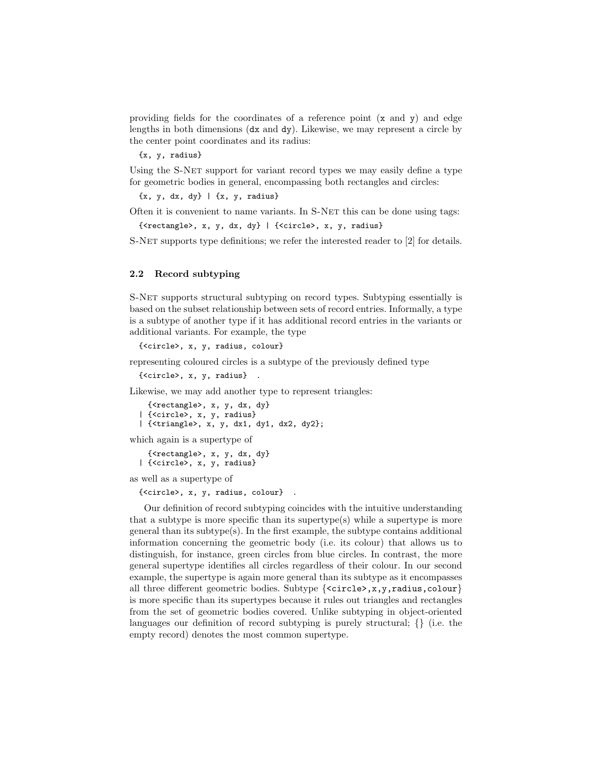providing fields for the coordinates of a reference point  $(x \text{ and } y)$  and edge lengths in both dimensions (dx and dy). Likewise, we may represent a circle by the center point coordinates and its radius:

{x, y, radius}

Using the S-NET support for variant record types we may easily define a type for geometric bodies in general, encompassing both rectangles and circles:

 ${x, y, dx, dy}$  |  ${x, y, radius}$ 

Often it is convenient to name variants. In S-NET this can be done using tags: {<rectangle>, x, y, dx, dy} | {<circle>, x, y, radius}

S-NET supports type definitions; we refer the interested reader to [2] for details.

### 2.2 Record subtyping

S-Net supports structural subtyping on record types. Subtyping essentially is based on the subset relationship between sets of record entries. Informally, a type is a subtype of another type if it has additional record entries in the variants or additional variants. For example, the type

{<circle>, x, y, radius, colour}

representing coloured circles is a subtype of the previously defined type

 ${ \langle circle \rangle, x, y, radius }$ 

Likewise, we may add another type to represent triangles:

{<rectangle>, x, y, dx, dy} | {<circle>, x, y, radius} | {<triangle>, x, y, dx1, dy1, dx2, dy2};

which again is a supertype of

{<rectangle>, x, y, dx, dy} | {<circle>, x, y, radius}

as well as a supertype of

{<circle>, x, y, radius, colour} .

Our definition of record subtyping coincides with the intuitive understanding that a subtype is more specific than its supertype(s) while a supertype is more general than its subtype(s). In the first example, the subtype contains additional information concerning the geometric body (i.e. its colour) that allows us to distinguish, for instance, green circles from blue circles. In contrast, the more general supertype identifies all circles regardless of their colour. In our second example, the supertype is again more general than its subtype as it encompasses all three different geometric bodies. Subtype  $\{\text{scircle}>, x, y, \text{radius}, \text{colour}\}\$ is more specific than its supertypes because it rules out triangles and rectangles from the set of geometric bodies covered. Unlike subtyping in object-oriented languages our definition of record subtyping is purely structural; {} (i.e. the empty record) denotes the most common supertype.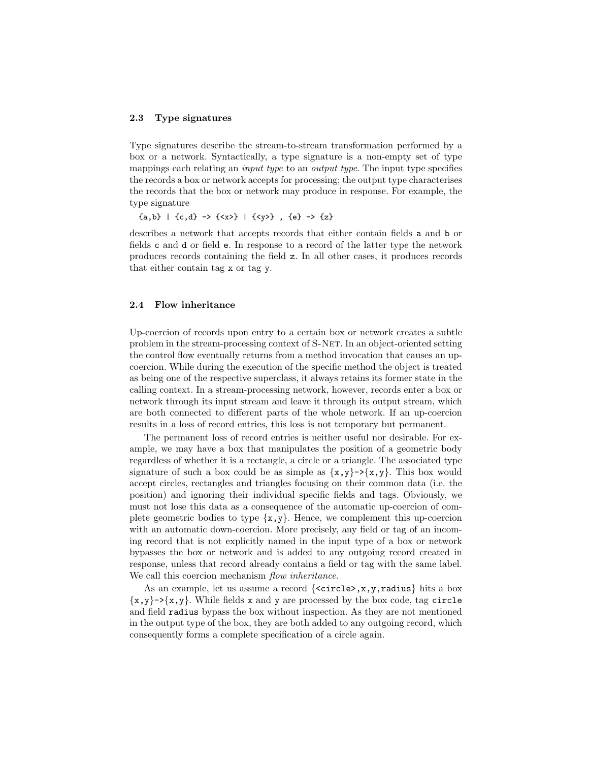#### 2.3 Type signatures

Type signatures describe the stream-to-stream transformation performed by a box or a network. Syntactically, a type signature is a non-empty set of type mappings each relating an *input type* to an *output type*. The input type specifies the records a box or network accepts for processing; the output type characterises the records that the box or network may produce in response. For example, the type signature

{a,b} | {c,d} -> {<x>} | {<y>}, {e} -> {z}

describes a network that accepts records that either contain fields a and b or fields c and d or field e. In response to a record of the latter type the network produces records containing the field z. In all other cases, it produces records that either contain tag x or tag y.

### 2.4 Flow inheritance

Up-coercion of records upon entry to a certain box or network creates a subtle problem in the stream-processing context of S-NET. In an object-oriented setting the control flow eventually returns from a method invocation that causes an upcoercion. While during the execution of the specific method the object is treated as being one of the respective superclass, it always retains its former state in the calling context. In a stream-processing network, however, records enter a box or network through its input stream and leave it through its output stream, which are both connected to different parts of the whole network. If an up-coercion results in a loss of record entries, this loss is not temporary but permanent.

The permanent loss of record entries is neither useful nor desirable. For example, we may have a box that manipulates the position of a geometric body regardless of whether it is a rectangle, a circle or a triangle. The associated type signature of such a box could be as simple as  $\{x,y\} \rightarrow \{x,y\}$ . This box would accept circles, rectangles and triangles focusing on their common data (i.e. the position) and ignoring their individual specific fields and tags. Obviously, we must not lose this data as a consequence of the automatic up-coercion of complete geometric bodies to type  $\{x, y\}$ . Hence, we complement this up-coercion with an automatic down-coercion. More precisely, any field or tag of an incoming record that is not explicitly named in the input type of a box or network bypasses the box or network and is added to any outgoing record created in response, unless that record already contains a field or tag with the same label. We call this coercion mechanism flow inheritance.

As an example, let us assume a record  $\{\text{circle}, x, y, \text{radius}\}\$  hits a box  ${x,y}$  ->{x,y}. While fields x and y are processed by the box code, tag circle and field radius bypass the box without inspection. As they are not mentioned in the output type of the box, they are both added to any outgoing record, which consequently forms a complete specification of a circle again.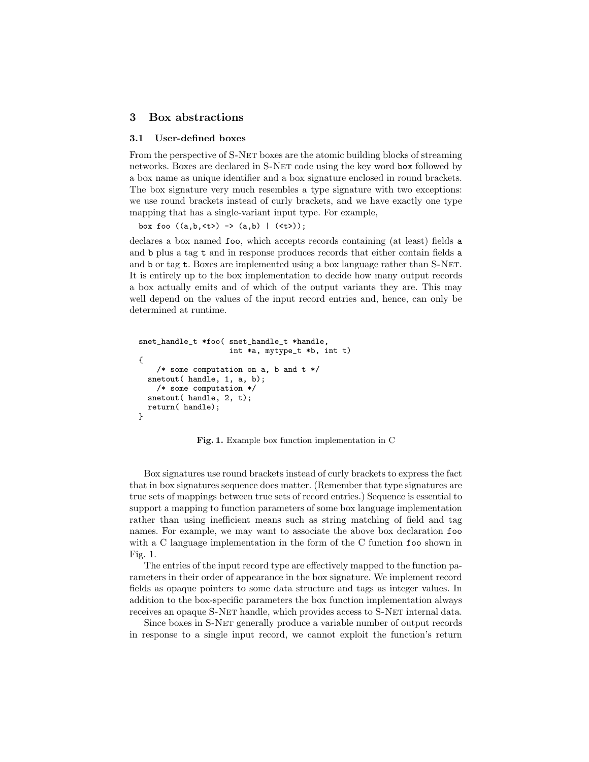# 3 Box abstractions

### 3.1 User-defined boxes

From the perspective of S-NET boxes are the atomic building blocks of streaming networks. Boxes are declared in S-NET code using the key word box followed by a box name as unique identifier and a box signature enclosed in round brackets. The box signature very much resembles a type signature with two exceptions: we use round brackets instead of curly brackets, and we have exactly one type mapping that has a single-variant input type. For example,

box foo  $((a,b,\langle t\rangle) \rightarrow (a,b) | (\langle t\rangle))$ ;

declares a box named foo, which accepts records containing (at least) fields a and b plus a tag t and in response produces records that either contain fields a and b or tag t. Boxes are implemented using a box language rather than S-Net. It is entirely up to the box implementation to decide how many output records a box actually emits and of which of the output variants they are. This may well depend on the values of the input record entries and, hence, can only be determined at runtime.

```
snet_handle_t *foo( snet_handle_t *handle,
                    int *a, mytype_t *b, int t)
{
    /* some computation on a, b and t */
  snetout( handle, 1, a, b);
    /* some computation */
  snetout( handle, 2, t);
  return( handle);
}
```
Fig. 1. Example box function implementation in C

Box signatures use round brackets instead of curly brackets to express the fact that in box signatures sequence does matter. (Remember that type signatures are true sets of mappings between true sets of record entries.) Sequence is essential to support a mapping to function parameters of some box language implementation rather than using inefficient means such as string matching of field and tag names. For example, we may want to associate the above box declaration foo with a C language implementation in the form of the C function foo shown in Fig. 1.

The entries of the input record type are effectively mapped to the function parameters in their order of appearance in the box signature. We implement record fields as opaque pointers to some data structure and tags as integer values. In addition to the box-specific parameters the box function implementation always receives an opaque S-NET handle, which provides access to S-NET internal data.

Since boxes in S-NET generally produce a variable number of output records in response to a single input record, we cannot exploit the function's return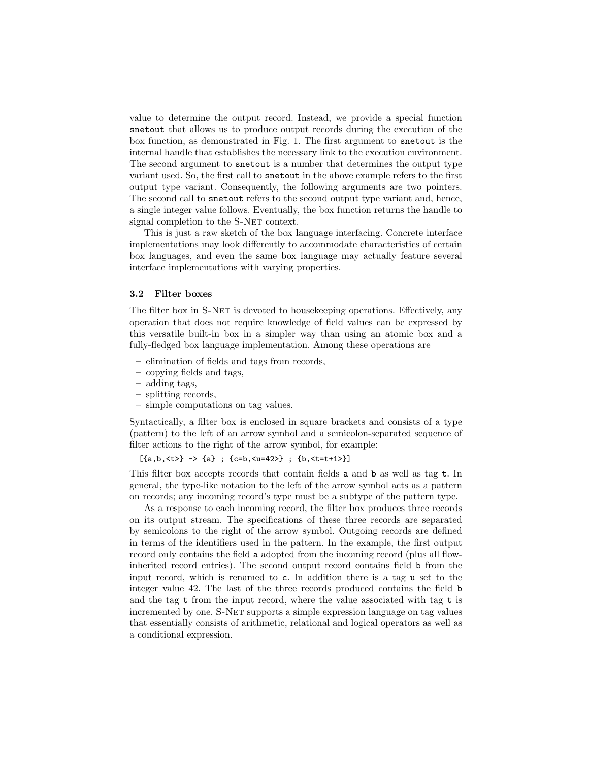value to determine the output record. Instead, we provide a special function snetout that allows us to produce output records during the execution of the box function, as demonstrated in Fig. 1. The first argument to snetout is the internal handle that establishes the necessary link to the execution environment. The second argument to snetout is a number that determines the output type variant used. So, the first call to snetout in the above example refers to the first output type variant. Consequently, the following arguments are two pointers. The second call to snetout refers to the second output type variant and, hence, a single integer value follows. Eventually, the box function returns the handle to signal completion to the S-NET context.

This is just a raw sketch of the box language interfacing. Concrete interface implementations may look differently to accommodate characteristics of certain box languages, and even the same box language may actually feature several interface implementations with varying properties.

#### 3.2 Filter boxes

The filter box in S-NET is devoted to housekeeping operations. Effectively, any operation that does not require knowledge of field values can be expressed by this versatile built-in box in a simpler way than using an atomic box and a fully-fledged box language implementation. Among these operations are

- elimination of fields and tags from records,
- copying fields and tags,
- adding tags,
- splitting records,
- simple computations on tag values.

Syntactically, a filter box is enclosed in square brackets and consists of a type (pattern) to the left of an arrow symbol and a semicolon-separated sequence of filter actions to the right of the arrow symbol, for example:

 $[{a,b,\langle t\rangle} \rightarrow {a} \; ; \; {c=b,\langle u=42\rangle} \; ; \; {b,\langle t=t+1\rangle}]$ 

This filter box accepts records that contain fields a and b as well as tag t. In general, the type-like notation to the left of the arrow symbol acts as a pattern on records; any incoming record's type must be a subtype of the pattern type.

As a response to each incoming record, the filter box produces three records on its output stream. The specifications of these three records are separated by semicolons to the right of the arrow symbol. Outgoing records are defined in terms of the identifiers used in the pattern. In the example, the first output record only contains the field a adopted from the incoming record (plus all flowinherited record entries). The second output record contains field b from the input record, which is renamed to c. In addition there is a tag u set to the integer value 42. The last of the three records produced contains the field b and the tag  $t$  from the input record, where the value associated with tag  $t$  is incremented by one. S-Net supports a simple expression language on tag values that essentially consists of arithmetic, relational and logical operators as well as a conditional expression.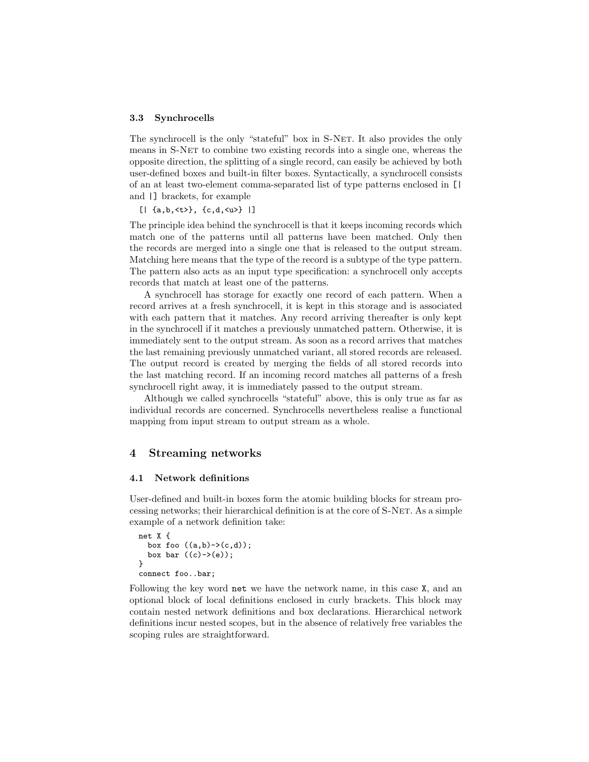#### 3.3 Synchrocells

The synchrocell is the only "stateful" box in S-NET. It also provides the only means in S-Net to combine two existing records into a single one, whereas the opposite direction, the splitting of a single record, can easily be achieved by both user-defined boxes and built-in filter boxes. Syntactically, a synchrocell consists of an at least two-element comma-separated list of type patterns enclosed in [| and |] brackets, for example

 $[ | {a,b, } \}, {c,d, } ]$ 

The principle idea behind the synchrocell is that it keeps incoming records which match one of the patterns until all patterns have been matched. Only then the records are merged into a single one that is released to the output stream. Matching here means that the type of the record is a subtype of the type pattern. The pattern also acts as an input type specification: a synchrocell only accepts records that match at least one of the patterns.

A synchrocell has storage for exactly one record of each pattern. When a record arrives at a fresh synchrocell, it is kept in this storage and is associated with each pattern that it matches. Any record arriving thereafter is only kept in the synchrocell if it matches a previously unmatched pattern. Otherwise, it is immediately sent to the output stream. As soon as a record arrives that matches the last remaining previously unmatched variant, all stored records are released. The output record is created by merging the fields of all stored records into the last matching record. If an incoming record matches all patterns of a fresh synchrocell right away, it is immediately passed to the output stream.

Although we called synchrocells "stateful" above, this is only true as far as individual records are concerned. Synchrocells nevertheless realise a functional mapping from input stream to output stream as a whole.

# 4 Streaming networks

#### 4.1 Network definitions

User-defined and built-in boxes form the atomic building blocks for stream processing networks; their hierarchical definition is at the core of S-Net. As a simple example of a network definition take:

```
net X {
  box foo ((a,b)-)(c,d));box bar ((c)->(e));
}
connect foo..bar;
```
Following the key word net we have the network name, in this case X, and an optional block of local definitions enclosed in curly brackets. This block may contain nested network definitions and box declarations. Hierarchical network definitions incur nested scopes, but in the absence of relatively free variables the scoping rules are straightforward.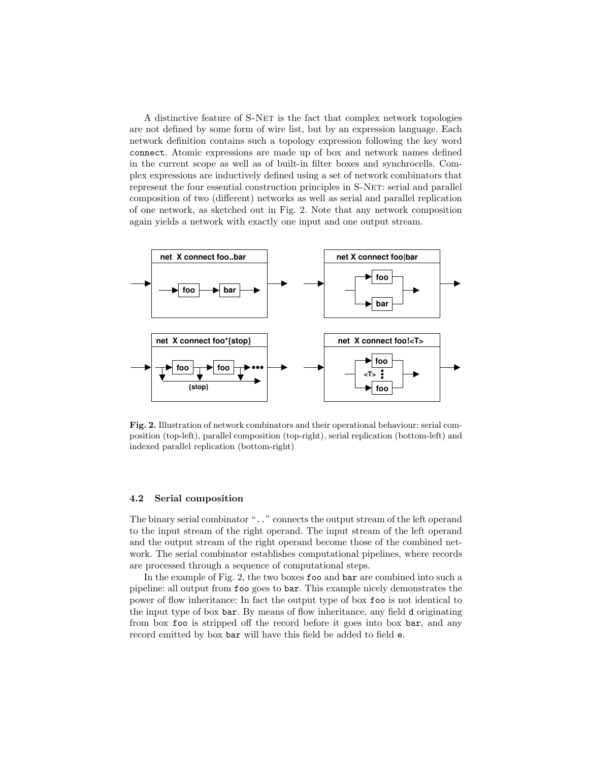A distinctive feature of S-Net is the fact that complex network topologies are not defined by some form of wire list, but by an expression language. Each network definition contains such a topology expression following the key word connect. Atomic expressions are made up of box and network names defined in the current scope as well as of built-in filter boxes and synchrocells. Complex expressions are inductively defined using a set of network combinators that represent the four essential construction principles in S-NET: serial and parallel composition of two (different) networks as well as serial and parallel replication of one network, as sketched out in Fig. 2. Note that any network composition again yields a network with exactly one input and one output stream.



Fig. 2. Illustration of network combinators and their operational behaviour: serial composition (top-left), parallel composition (top-right), serial replication (bottom-left) and indexed parallel replication (bottom-right)

### 4.2 Serial composition

The binary serial combinator ".." connects the output stream of the left operand to the input stream of the right operand. The input stream of the left operand and the output stream of the right operand become those of the combined network. The serial combinator establishes computational pipelines, where records are processed through a sequence of computational steps.

In the example of Fig. 2, the two boxes foo and bar are combined into such a pipeline: all output from foo goes to bar. This example nicely demonstrates the power of flow inheritance: In fact the output type of box foo is not identical to the input type of box bar. By means of flow inheritance, any field d originating from box foo is stripped off the record before it goes into box bar, and any record emitted by box bar will have this field be added to field e.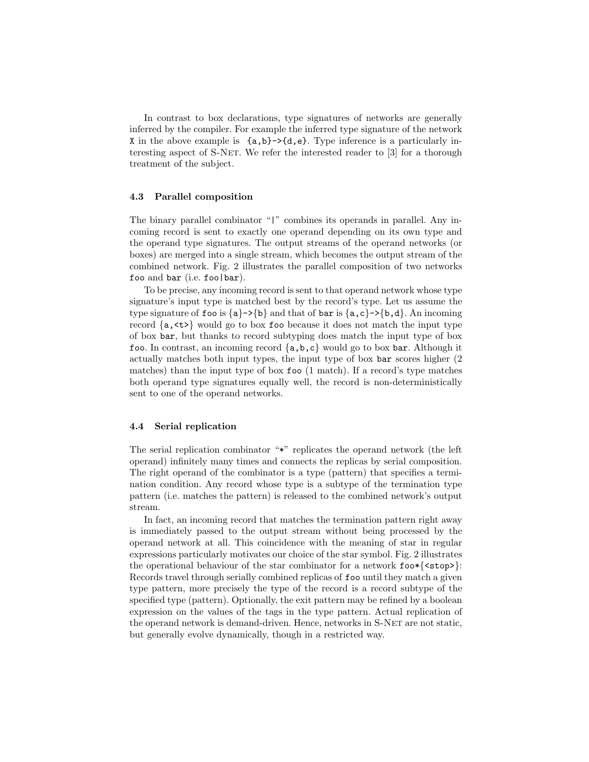In contrast to box declarations, type signatures of networks are generally inferred by the compiler. For example the inferred type signature of the network X in the above example is  $\{a,b\}$  -> $\{d,e\}$ . Type inference is a particularly interesting aspect of S-NET. We refer the interested reader to [3] for a thorough treatment of the subject.

### 4.3 Parallel composition

The binary parallel combinator "|" combines its operands in parallel. Any incoming record is sent to exactly one operand depending on its own type and the operand type signatures. The output streams of the operand networks (or boxes) are merged into a single stream, which becomes the output stream of the combined network. Fig. 2 illustrates the parallel composition of two networks foo and bar (i.e. foo|bar).

To be precise, any incoming record is sent to that operand network whose type signature's input type is matched best by the record's type. Let us assume the type signature of foo is  ${a}$ ->{b} and that of bar is  ${a, c}$ ->{b,d}. An incoming record {a,<t>} would go to box foo because it does not match the input type of box bar, but thanks to record subtyping does match the input type of box foo. In contrast, an incoming record  $\{a,b,c\}$  would go to box bar. Although it actually matches both input types, the input type of box bar scores higher (2 matches) than the input type of box foo (1 match). If a record's type matches both operand type signatures equally well, the record is non-deterministically sent to one of the operand networks.

### 4.4 Serial replication

The serial replication combinator "\*" replicates the operand network (the left operand) infinitely many times and connects the replicas by serial composition. The right operand of the combinator is a type (pattern) that specifies a termination condition. Any record whose type is a subtype of the termination type pattern (i.e. matches the pattern) is released to the combined network's output stream.

In fact, an incoming record that matches the termination pattern right away is immediately passed to the output stream without being processed by the operand network at all. This coincidence with the meaning of star in regular expressions particularly motivates our choice of the star symbol. Fig. 2 illustrates the operational behaviour of the star combinator for a network  $f \circ f \circ f$  (stop): Records travel through serially combined replicas of foo until they match a given type pattern, more precisely the type of the record is a record subtype of the specified type (pattern). Optionally, the exit pattern may be refined by a boolean expression on the values of the tags in the type pattern. Actual replication of the operand network is demand-driven. Hence, networks in S-NET are not static, but generally evolve dynamically, though in a restricted way.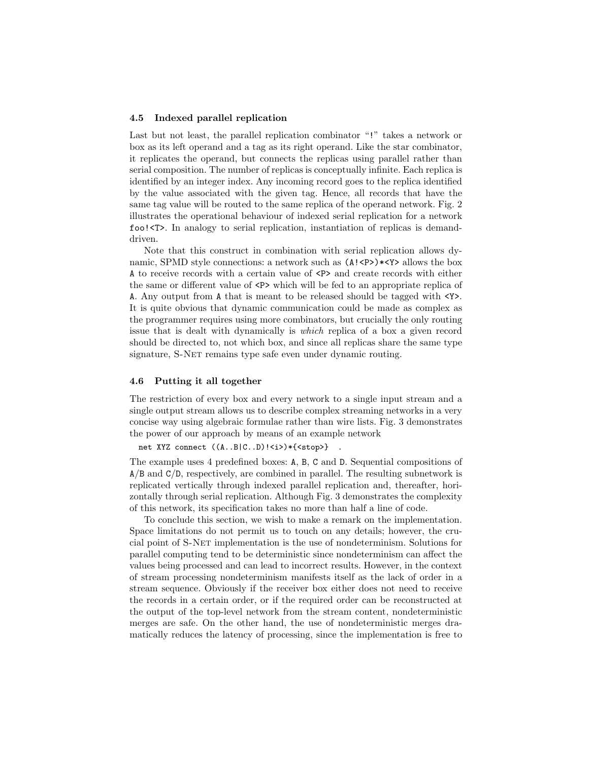### 4.5 Indexed parallel replication

Last but not least, the parallel replication combinator "!" takes a network or box as its left operand and a tag as its right operand. Like the star combinator, it replicates the operand, but connects the replicas using parallel rather than serial composition. The number of replicas is conceptually infinite. Each replica is identified by an integer index. Any incoming record goes to the replica identified by the value associated with the given tag. Hence, all records that have the same tag value will be routed to the same replica of the operand network. Fig. 2 illustrates the operational behaviour of indexed serial replication for a network foo!<T>. In analogy to serial replication, instantiation of replicas is demanddriven.

Note that this construct in combination with serial replication allows dynamic, SPMD style connections: a network such as  $(A!\langle P\rangle)*\langle Y\rangle$  allows the box A to receive records with a certain value of <P> and create records with either the same or different value of  $\langle P \rangle$  which will be fed to an appropriate replica of A. Any output from A that is meant to be released should be tagged with <Y>. It is quite obvious that dynamic communication could be made as complex as the programmer requires using more combinators, but crucially the only routing issue that is dealt with dynamically is which replica of a box a given record should be directed to, not which box, and since all replicas share the same type signature, S-NET remains type safe even under dynamic routing.

### 4.6 Putting it all together

The restriction of every box and every network to a single input stream and a single output stream allows us to describe complex streaming networks in a very concise way using algebraic formulae rather than wire lists. Fig. 3 demonstrates the power of our approach by means of an example network

net XYZ connect ((A..B|C..D)!<i>)\*{<stop>}

The example uses 4 predefined boxes: A, B, C and D. Sequential compositions of  $A/B$  and  $C/D$ , respectively, are combined in parallel. The resulting subnetwork is replicated vertically through indexed parallel replication and, thereafter, horizontally through serial replication. Although Fig. 3 demonstrates the complexity of this network, its specification takes no more than half a line of code.

To conclude this section, we wish to make a remark on the implementation. Space limitations do not permit us to touch on any details; however, the crucial point of S-Net implementation is the use of nondeterminism. Solutions for parallel computing tend to be deterministic since nondeterminism can affect the values being processed and can lead to incorrect results. However, in the context of stream processing nondeterminism manifests itself as the lack of order in a stream sequence. Obviously if the receiver box either does not need to receive the records in a certain order, or if the required order can be reconstructed at the output of the top-level network from the stream content, nondeterministic merges are safe. On the other hand, the use of nondeterministic merges dramatically reduces the latency of processing, since the implementation is free to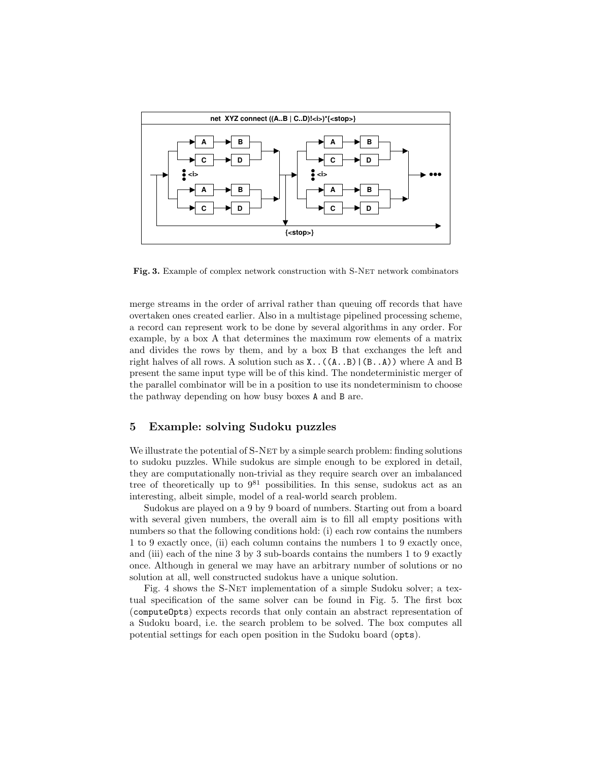

Fig. 3. Example of complex network construction with S-NET network combinators

merge streams in the order of arrival rather than queuing off records that have overtaken ones created earlier. Also in a multistage pipelined processing scheme, a record can represent work to be done by several algorithms in any order. For example, by a box A that determines the maximum row elements of a matrix and divides the rows by them, and by a box B that exchanges the left and right halves of all rows. A solution such as  $X$ .  $((A \cdot B) | (B \cdot A))$  where A and B present the same input type will be of this kind. The nondeterministic merger of the parallel combinator will be in a position to use its nondeterminism to choose the pathway depending on how busy boxes A and B are.

### 5 Example: solving Sudoku puzzles

We illustrate the potential of S-NET by a simple search problem: finding solutions to sudoku puzzles. While sudokus are simple enough to be explored in detail, they are computationally non-trivial as they require search over an imbalanced tree of theoretically up to  $9^{81}$  possibilities. In this sense, sudokus act as an interesting, albeit simple, model of a real-world search problem.

Sudokus are played on a 9 by 9 board of numbers. Starting out from a board with several given numbers, the overall aim is to fill all empty positions with numbers so that the following conditions hold: (i) each row contains the numbers 1 to 9 exactly once, (ii) each column contains the numbers 1 to 9 exactly once, and (iii) each of the nine 3 by 3 sub-boards contains the numbers 1 to 9 exactly once. Although in general we may have an arbitrary number of solutions or no solution at all, well constructed sudokus have a unique solution.

Fig. 4 shows the S-Net implementation of a simple Sudoku solver; a textual specification of the same solver can be found in Fig. 5. The first box (computeOpts) expects records that only contain an abstract representation of a Sudoku board, i.e. the search problem to be solved. The box computes all potential settings for each open position in the Sudoku board (opts).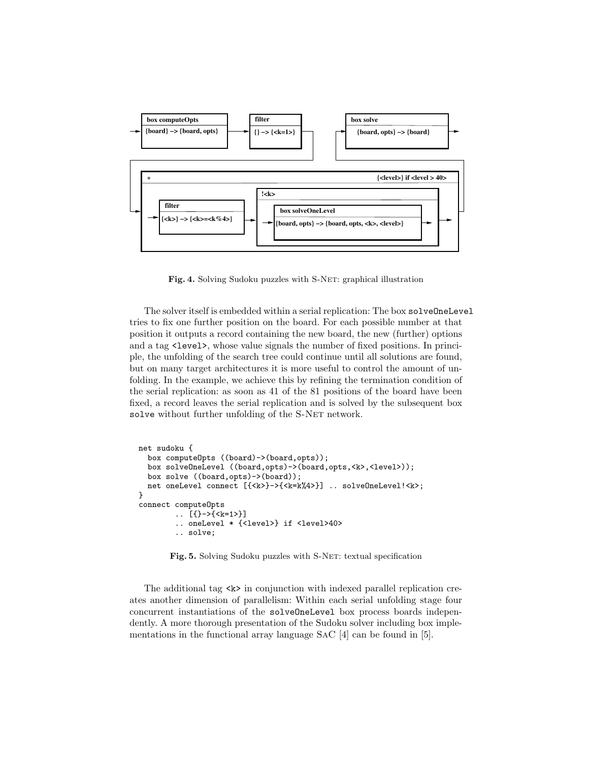

Fig. 4. Solving Sudoku puzzles with S-NET: graphical illustration

The solver itself is embedded within a serial replication: The box solveOneLevel tries to fix one further position on the board. For each possible number at that position it outputs a record containing the new board, the new (further) options and a tag  $\leq$  level >, whose value signals the number of fixed positions. In principle, the unfolding of the search tree could continue until all solutions are found, but on many target architectures it is more useful to control the amount of unfolding. In the example, we achieve this by refining the termination condition of the serial replication: as soon as 41 of the 81 positions of the board have been fixed, a record leaves the serial replication and is solved by the subsequent box solve without further unfolding of the S-NET network.

```
net sudoku {
  box computeOpts ((board)->(board,opts));
  box solveOneLevel ((board,opts)->(board,opts,<k>,<level>));
  box solve ((board,opts)->(board));
  net oneLevel connect [{<k>}->{<k=k%4>}] .. solveOneLevel!<k>;
}
connect computeOpts
        .. [{}->{<k=1>}]
        .. oneLevel * {<level>} if <level>40>
        .. solve;
```
Fig. 5. Solving Sudoku puzzles with S-NET: textual specification

The additional tag  $\langle k \rangle$  in conjunction with indexed parallel replication creates another dimension of parallelism: Within each serial unfolding stage four concurrent instantiations of the solveOneLevel box process boards independently. A more thorough presentation of the Sudoku solver including box implementations in the functional array language SaC [4] can be found in [5].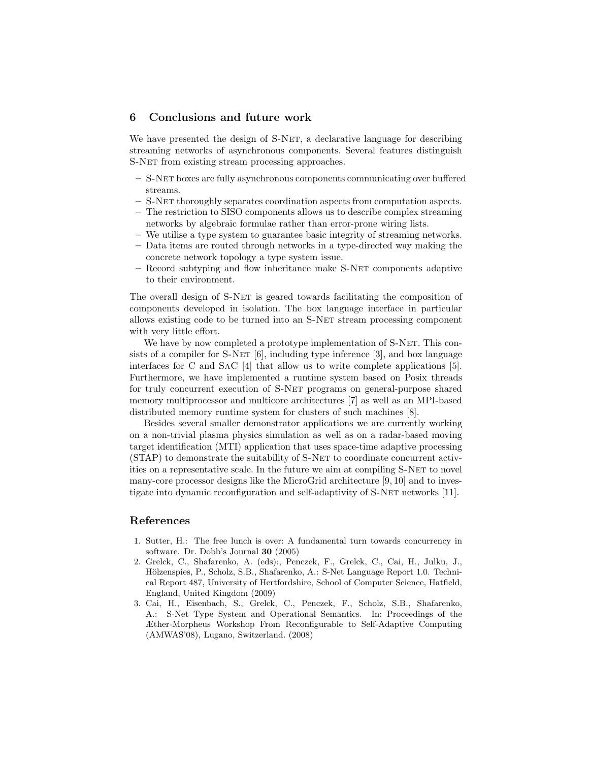## 6 Conclusions and future work

We have presented the design of S-NET, a declarative language for describing streaming networks of asynchronous components. Several features distinguish S-Net from existing stream processing approaches.

- S-Net boxes are fully asynchronous components communicating over buffered streams.
- S-Net thoroughly separates coordination aspects from computation aspects.
- The restriction to SISO components allows us to describe complex streaming networks by algebraic formulae rather than error-prone wiring lists.
- We utilise a type system to guarantee basic integrity of streaming networks.
- Data items are routed through networks in a type-directed way making the concrete network topology a type system issue.
- Record subtyping and flow inheritance make S-Net components adaptive to their environment.

The overall design of S-NET is geared towards facilitating the composition of components developed in isolation. The box language interface in particular allows existing code to be turned into an S-Net stream processing component with very little effort.

We have by now completed a prototype implementation of S-NET. This consists of a compiler for S-NET [6], including type inference [3], and box language interfaces for C and SaC [4] that allow us to write complete applications [5]. Furthermore, we have implemented a runtime system based on Posix threads for truly concurrent execution of S-Net programs on general-purpose shared memory multiprocessor and multicore architectures [7] as well as an MPI-based distributed memory runtime system for clusters of such machines [8].

Besides several smaller demonstrator applications we are currently working on a non-trivial plasma physics simulation as well as on a radar-based moving target identification (MTI) application that uses space-time adaptive processing (STAP) to demonstrate the suitability of S-Net to coordinate concurrent activities on a representative scale. In the future we aim at compiling S-Net to novel many-core processor designs like the MicroGrid architecture [9, 10] and to investigate into dynamic reconfiguration and self-adaptivity of S-NET networks [11].

# References

- 1. Sutter, H.: The free lunch is over: A fundamental turn towards concurrency in software. Dr. Dobb's Journal 30 (2005)
- 2. Grelck, C., Shafarenko, A. (eds):, Penczek, F., Grelck, C., Cai, H., Julku, J., Hölzenspies, P., Scholz, S.B., Shafarenko, A.: S-Net Language Report 1.0. Technical Report 487, University of Hertfordshire, School of Computer Science, Hatfield, England, United Kingdom (2009)
- 3. Cai, H., Eisenbach, S., Grelck, C., Penczek, F., Scholz, S.B., Shafarenko, A.: S-Net Type System and Operational Semantics. In: Proceedings of the Æther-Morpheus Workshop From Reconfigurable to Self-Adaptive Computing (AMWAS'08), Lugano, Switzerland. (2008)